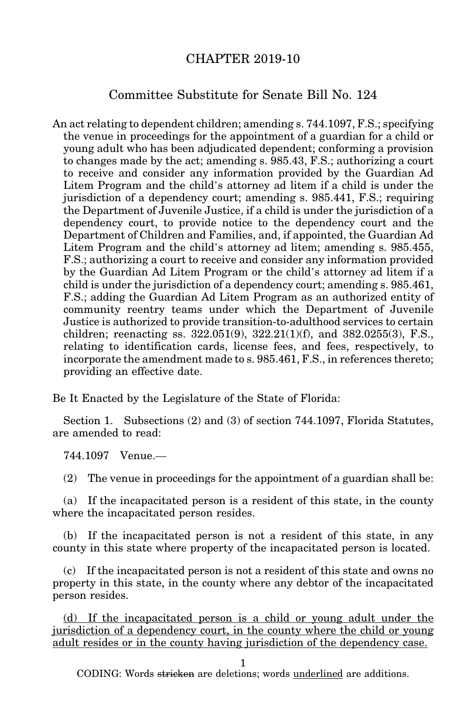## CHAPTER 2019-10

## Committee Substitute for Senate Bill No. 124

An act relating to dependent children; amending s. 744.1097, F.S.; specifying the venue in proceedings for the appointment of a guardian for a child or young adult who has been adjudicated dependent; conforming a provision to changes made by the act; amending s. 985.43, F.S.; authorizing a court to receive and consider any information provided by the Guardian Ad Litem Program and the child's attorney ad litem if a child is under the jurisdiction of a dependency court; amending s. 985.441, F.S.; requiring the Department of Juvenile Justice, if a child is under the jurisdiction of a dependency court, to provide notice to the dependency court and the Department of Children and Families, and, if appointed, the Guardian Ad Litem Program and the child's attorney ad litem; amending s. 985.455, F.S.; authorizing a court to receive and consider any information provided by the Guardian Ad Litem Program or the child's attorney ad litem if a child is under the jurisdiction of a dependency court; amending s. 985.461, F.S.; adding the Guardian Ad Litem Program as an authorized entity of community reentry teams under which the Department of Juvenile Justice is authorized to provide transition-to-adulthood services to certain children; reenacting ss.  $322.051(9)$ ,  $322.21(1)(f)$ , and  $382.0255(3)$ , F.S., relating to identification cards, license fees, and fees, respectively, to incorporate the amendment made to s. 985.461, F.S., in references thereto; providing an effective date.

Be It Enacted by the Legislature of the State of Florida:

Section 1. Subsections (2) and (3) of section 744.1097, Florida Statutes, are amended to read:

744.1097 Venue.—

(2) The venue in proceedings for the appointment of a guardian shall be:

(a) If the incapacitated person is a resident of this state, in the county where the incapacitated person resides.

(b) If the incapacitated person is not a resident of this state, in any county in this state where property of the incapacitated person is located.

(c) If the incapacitated person is not a resident of this state and owns no property in this state, in the county where any debtor of the incapacitated person resides.

(d) If the incapacitated person is a child or young adult under the jurisdiction of a dependency court, in the county where the child or young adult resides or in the county having jurisdiction of the dependency case.

1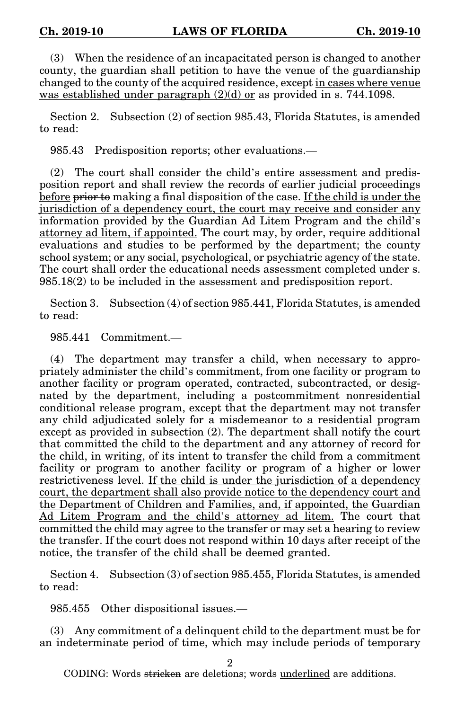(3) When the residence of an incapacitated person is changed to another county, the guardian shall petition to have the venue of the guardianship changed to the county of the acquired residence, except in cases where venue was established under paragraph  $(2)(d)$  or as provided in s. 744.1098.

Section 2. Subsection (2) of section 985.43, Florida Statutes, is amended to read:

985.43 Predisposition reports; other evaluations.—

(2) The court shall consider the child's entire assessment and predisposition report and shall review the records of earlier judicial proceedings before <del>prior to</del> making a final disposition of the case. If the child is under the jurisdiction of a dependency court, the court may receive and consider any information provided by the Guardian Ad Litem Program and the child's attorney ad litem, if appointed. The court may, by order, require additional evaluations and studies to be performed by the department; the county school system; or any social, psychological, or psychiatric agency of the state. The court shall order the educational needs assessment completed under s. 985.18(2) to be included in the assessment and predisposition report.

Section 3. Subsection (4) of section 985.441, Florida Statutes, is amended to read:

985.441 Commitment.—

(4) The department may transfer a child, when necessary to appropriately administer the child's commitment, from one facility or program to another facility or program operated, contracted, subcontracted, or designated by the department, including a postcommitment nonresidential conditional release program, except that the department may not transfer any child adjudicated solely for a misdemeanor to a residential program except as provided in subsection (2). The department shall notify the court that committed the child to the department and any attorney of record for the child, in writing, of its intent to transfer the child from a commitment facility or program to another facility or program of a higher or lower restrictiveness level. If the child is under the jurisdiction of a dependency court, the department shall also provide notice to the dependency court and the Department of Children and Families, and, if appointed, the Guardian Ad Litem Program and the child's attorney ad litem. The court that committed the child may agree to the transfer or may set a hearing to review the transfer. If the court does not respond within 10 days after receipt of the notice, the transfer of the child shall be deemed granted.

Section 4. Subsection (3) of section 985.455, Florida Statutes, is amended to read:

985.455 Other dispositional issues.—

(3) Any commitment of a delinquent child to the department must be for an indeterminate period of time, which may include periods of temporary

2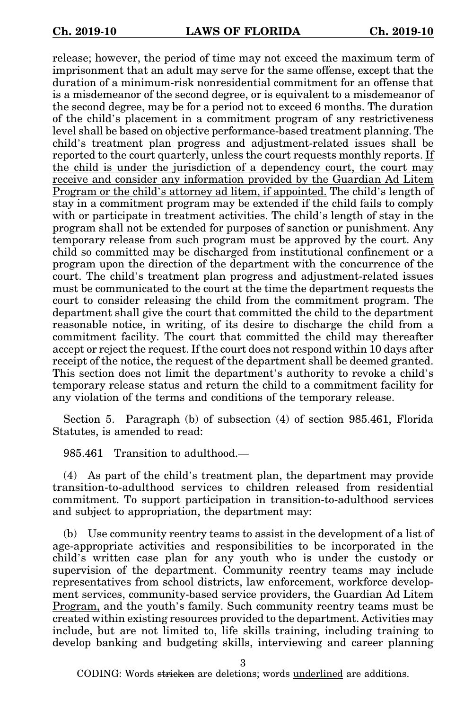release; however, the period of time may not exceed the maximum term of imprisonment that an adult may serve for the same offense, except that the duration of a minimum-risk nonresidential commitment for an offense that is a misdemeanor of the second degree, or is equivalent to a misdemeanor of the second degree, may be for a period not to exceed 6 months. The duration of the child's placement in a commitment program of any restrictiveness level shall be based on objective performance-based treatment planning. The child's treatment plan progress and adjustment-related issues shall be reported to the court quarterly, unless the court requests monthly reports. If the child is under the jurisdiction of a dependency court, the court may receive and consider any information provided by the Guardian Ad Litem Program or the child's attorney ad litem, if appointed. The child's length of stay in a commitment program may be extended if the child fails to comply with or participate in treatment activities. The child's length of stay in the program shall not be extended for purposes of sanction or punishment. Any temporary release from such program must be approved by the court. Any child so committed may be discharged from institutional confinement or a program upon the direction of the department with the concurrence of the court. The child's treatment plan progress and adjustment-related issues must be communicated to the court at the time the department requests the court to consider releasing the child from the commitment program. The department shall give the court that committed the child to the department reasonable notice, in writing, of its desire to discharge the child from a commitment facility. The court that committed the child may thereafter accept or reject the request. If the court does not respond within 10 days after receipt of the notice, the request of the department shall be deemed granted. This section does not limit the department's authority to revoke a child's temporary release status and return the child to a commitment facility for any violation of the terms and conditions of the temporary release.

Section 5. Paragraph (b) of subsection (4) of section 985.461, Florida Statutes, is amended to read:

985.461 Transition to adulthood.—

(4) As part of the child's treatment plan, the department may provide transition-to-adulthood services to children released from residential commitment. To support participation in transition-to-adulthood services and subject to appropriation, the department may:

(b) Use community reentry teams to assist in the development of a list of age-appropriate activities and responsibilities to be incorporated in the child's written case plan for any youth who is under the custody or supervision of the department. Community reentry teams may include representatives from school districts, law enforcement, workforce development services, community-based service providers, the Guardian Ad Litem Program, and the youth's family. Such community reentry teams must be created within existing resources provided to the department. Activities may include, but are not limited to, life skills training, including training to develop banking and budgeting skills, interviewing and career planning

3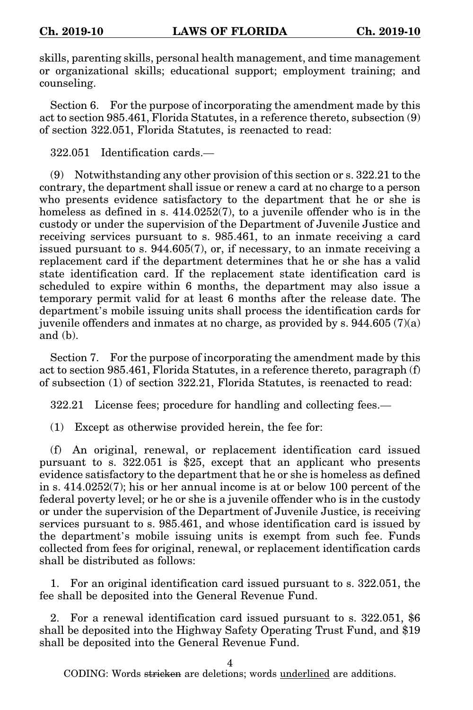skills, parenting skills, personal health management, and time management or organizational skills; educational support; employment training; and counseling.

Section 6. For the purpose of incorporating the amendment made by this act to section 985.461, Florida Statutes, in a reference thereto, subsection (9) of section 322.051, Florida Statutes, is reenacted to read:

322.051 Identification cards.—

(9) Notwithstanding any other provision of this section or s. 322.21 to the contrary, the department shall issue or renew a card at no charge to a person who presents evidence satisfactory to the department that he or she is homeless as defined in s.  $414.0252(7)$ , to a juvenile offender who is in the custody or under the supervision of the Department of Juvenile Justice and receiving services pursuant to s. 985.461, to an inmate receiving a card issued pursuant to s. 944.605(7), or, if necessary, to an inmate receiving a replacement card if the department determines that he or she has a valid state identification card. If the replacement state identification card is scheduled to expire within 6 months, the department may also issue a temporary permit valid for at least 6 months after the release date. The department's mobile issuing units shall process the identification cards for juvenile offenders and inmates at no charge, as provided by s. 944.605 (7)(a) and (b).

Section 7. For the purpose of incorporating the amendment made by this act to section 985.461, Florida Statutes, in a reference thereto, paragraph (f) of subsection (1) of section 322.21, Florida Statutes, is reenacted to read:

322.21 License fees; procedure for handling and collecting fees.—

(1) Except as otherwise provided herein, the fee for:

(f) An original, renewal, or replacement identification card issued pursuant to s. 322.051 is \$25, except that an applicant who presents evidence satisfactory to the department that he or she is homeless as defined in s. 414.0252(7); his or her annual income is at or below 100 percent of the federal poverty level; or he or she is a juvenile offender who is in the custody or under the supervision of the Department of Juvenile Justice, is receiving services pursuant to s. 985.461, and whose identification card is issued by the department's mobile issuing units is exempt from such fee. Funds collected from fees for original, renewal, or replacement identification cards shall be distributed as follows:

1. For an original identification card issued pursuant to s. 322.051, the fee shall be deposited into the General Revenue Fund.

2. For a renewal identification card issued pursuant to s. 322.051, \$6 shall be deposited into the Highway Safety Operating Trust Fund, and \$19 shall be deposited into the General Revenue Fund.

4